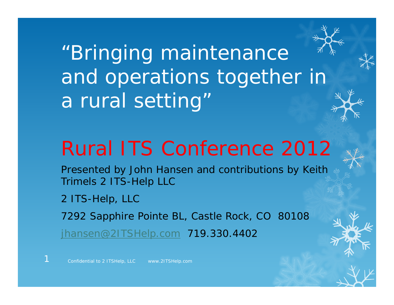"Bringing maintenance and operations together in a rural setting'

# Rural ITS Conference 2012

Presented by John Hansen and contributions by Keith Trimels 2 ITS-Help LLC

2 ITS-Help, LLC

1

7292 Sapphire Pointe BL, Castle Rock, CO 80108

jhansen@2ITSHelp.com 719.330.4402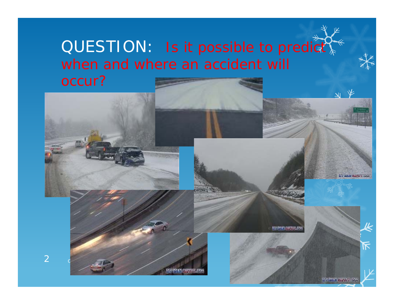## QUESTION: Is it possible to predict when and where an accident will

occur?



 $\overline{2}$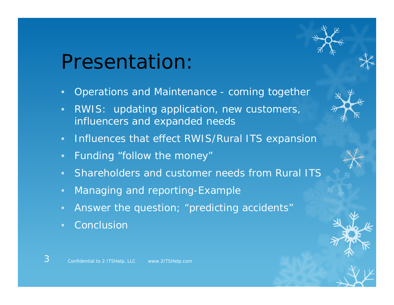# Presentation:

- •Operations and Maintenance - coming together
- • RWIS: updating application, new customers, influencers and expanded needs
- $\bullet$ Influences that effect RWIS/Rural ITS expansion
- •Funding "follow the money"
- •Shareholders and customer needs from Rural ITS
- Managing and reporting-Example
- Answer the question; "predicting accidents"
- •Conclusion

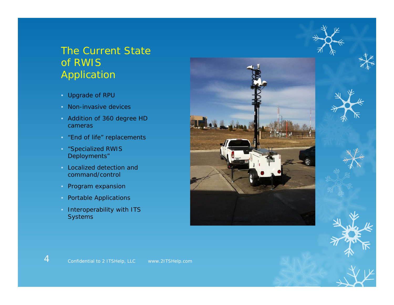#### The Current State of RWIS Application

- Upgrade of RPU
- Non-invasive devices
- Addition of 360 degree HD cameras
- "End of life" replacements
- "Specialized RWIS Deployments"
- Localized detection and command/control
- Program expansion

- Portable Applications
- Interoperability with ITS **Systems**

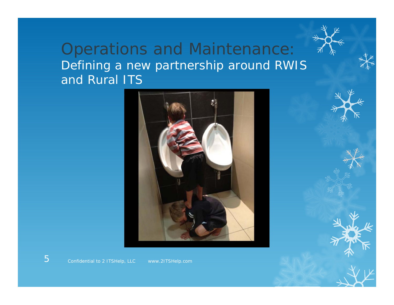### Operations and Maintenance: Defining a new partnership around RWIS and Rural ITS

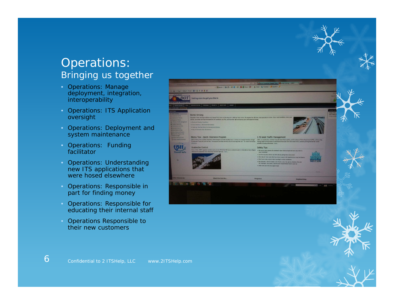#### Operations: Bringing us together

- Operations: Manage deployment, integration, interoperability
- Operations: ITS Application oversight
- Operations: Deployment and system maintenance
- Operations: Funding facilitator
- Operations: Understanding new ITS applications that were hosed elsewhere
- Operations: Responsible in part for finding money
- Operations: Responsible for educating their internal staff
- Operations Responsible to their new customers

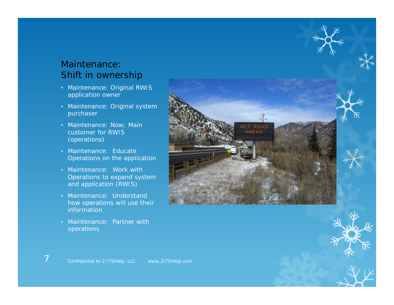#### Maintenance:Shift in ownership

- Maintenance: Original RWIS application owner
- Maintenance: Original system purchaser
- Maintenance: Now; Main customer for RWIS (operations)
- Maintenance: Educate Operations on the application
- Maintenance: Work with Operations to expand system and application (RWIS)
- Maintenance: Understand how operations will use their information
- Maintenance: Partner with operations

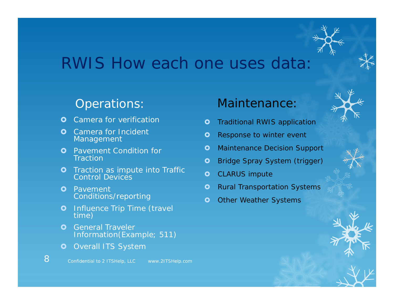## RWIS How each one uses data:

#### Operations:

- $\bullet$ Camera for verification
- **O** Camera for Incident Carriera for Filologist **of Communist Communist Communist Communist Communist Communist Communist Communist Co<br>Management**
- **O** Pavement Condition for **Traction**
- **O** Traction as impute into Traffic Control Devices
- **O** Pavement Conditions/reporting
- **O** Influence Trip Time (travel time)
- $\bullet$  General Traveler Information(Example; 511)
- $\bullet$ Overall ITS System

### Maintenance:

- $\bullet$ Traditional RWIS application
- $\bullet$
- O Maintenance Decision Support
- $\bullet$ Bridge Spray System (trigger)
- **O** CLARUS impute
- $\overline{\mathbf{o}}$ Rural Transportation Systems
- Ō Other Weather Systems

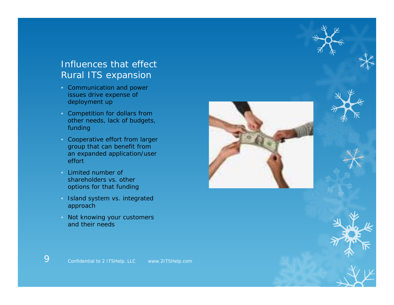#### Influences that effect Rural ITS expansion

- Communication and power issues drive expense of deployment up
- Competition for dollars from other needs, lack of budgets, funding
- Cooperative effort from larger group that can benefit from an expanded application/user effort
- Limited number of shareholders vs. other options for that funding
- Island system vs. integrated approach
- Not knowing your customers and their needs



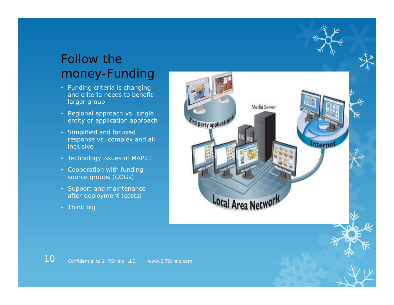### Follow the money-Funding

- Funding criteria is changing and criteria needs to benefit larger group
- Regional approach vs. single entity or application approach
- Simplified and focused response vs. complex and all inclusive
- Technology issues of MAP21
- Cooperation with funding source groups (COGs)
- Support and maintenance after deployment (costs)
- Think big

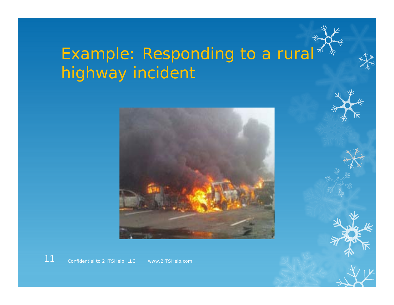# Example: Responding to a rural<sup>\*</sup> highway incident



Confidential to 2 ITSHelp, LLC www.2ITSHelp.com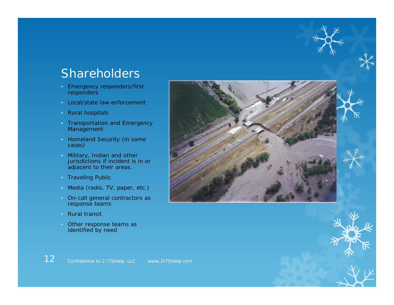### Shareholders

- Emergency responders/first responders
- Local/state law enforcement
- Rural hospitals
- Transportation and Emergency Management
- Homeland Security (in some cases)
- Military, Indian and other jurisdictions if incident is in or adjacent to their areas.
- Traveling Public
- Media (radio, TV, paper, etc.)
- On-call general contractors as response teams
- Rural transit
- Other response teams as identified by need





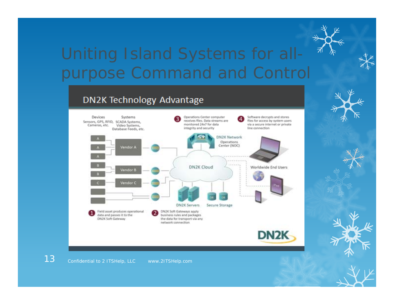## Uniting Island Systems for all purpose Command and Control

#### DN2K Technology Advantage

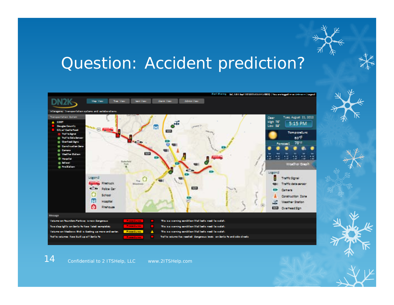## Question: Accident prediction?



Confidential to 2 ITSHelp, LLC www.2ITSHelp.com